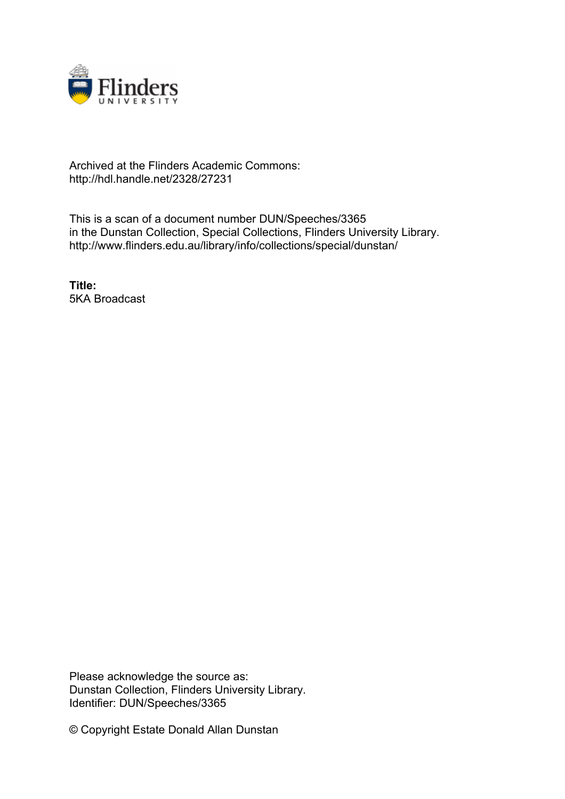

## Archived at the Flinders Academic Commons: http://hdl.handle.net/2328/27231

This is a scan of a document number DUN/Speeches/3365 in the Dunstan Collection, Special Collections, Flinders University Library. http://www.flinders.edu.au/library/info/collections/special/dunstan/

**Title:** 5KA Broadcast

Please acknowledge the source as: Dunstan Collection, Flinders University Library. Identifier: DUN/Speeches/3365

© Copyright Estate Donald Allan Dunstan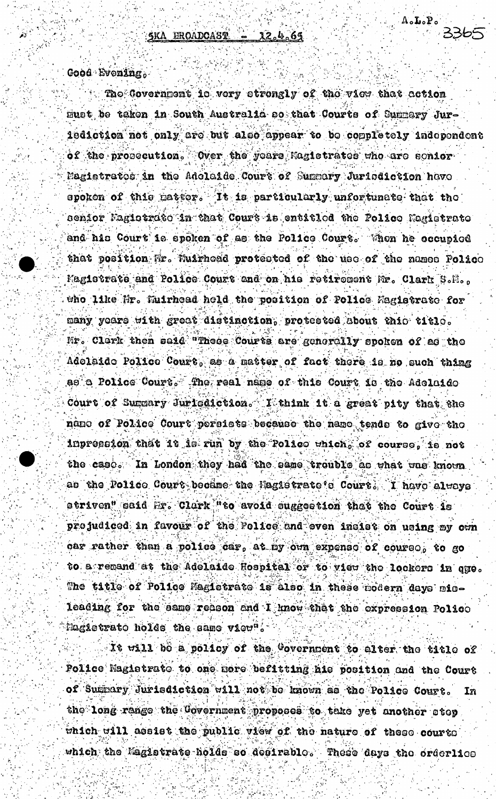$\mathtt{A_oI_oP_o}$ 

Good Evening.

The Covernment is very strengly of the view that action must be taken in South Australia so that Courts of Summary Jur-1ediction not only are but also appear to be completely independent of the prosecution. Over the years Hagistrates who are senior Magietratos in the Adolaide Court of Summary Juriodiction have spoken of this patter. It is particularly unfortunate that the senior Pagistrato in that Court is entitled the Police Magistrate and his Court is spoken of as the Police Court. When he occupied that position Mr. Muirhead protested of the use of the names Police Magistrate and Police Court and on his retirement Mr. Clark S.M.. who like Mr. Muirhead held the position of Police Magistrate for many yoars with great distinction, protested about this title. Mr. Clark then said "Theos Courts are generally spoken of as the Adolaido Police Court, as a matter of fact there is no such thing as a Police Court. The real name of this Court is the Adelaide Court of Summary Jurisdiction. I think it a great pity that the ndno of Police Court persists because the name tends to give the inpression that it is run by the Police which, of course, is not the case. In London they had the same trouble as what was known as the Police Court became the Magistrate's Court. I have always striven" said Hr. Clark "to avoid suggestion that the Court is prejudiced in favour of the Folice and even inciet on using my own car rather than a police car, at my own expense of course, to go to a remand at the Adelaide Hospital or to view the lockers in que. The title of Police Magistrate is also in these modern days misleading for the same reason and I know that the expression Police Magietrato holes the same view".

It will bo a policy of the Covernment to alter the title of Police Magistrate to one more befitting his position and the Court of Summary Jurisdiction will not be known as the Police Court. In the long range the Covernment proposes to take yet another atop which will assist the public view of the nature of these courts which the Magistrate holds so desirable. These days the orderlice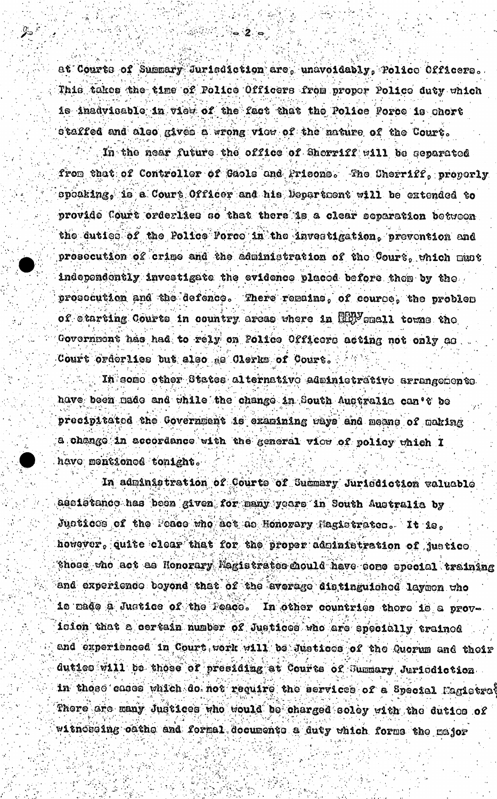at Courts of Summary Jurisdiction are, unavoidably, Police Officers. This takes the time of Police Officers from proper Police duty which is inadvisable in view of the fact that the Police Force is chort staffed and also gives a wrong view of the nature of the Court.

 $\sim 2.5$ 

In the near future the office of Sherriff will be separated from that of Controller of Gaols and Prisons. The Sherriff, proporly spoaking, is a Court Officer and his Department will be extended to provide Court orderlies so that there is a clear separation between the duties of the Police Force in the investigation, prevention and prosecution of crime and the administration of the Court, which must independently investigate the evidence placed before then by the prosecution and the defence. There remains, of course, the problem of etarting Courts in country areas where in 1999 small towns the Government has had to rely on Folice Officers acting not only as Court orderlies but also as Clerks of Court.

In some other States alternative administrative arrangements have been made and while the change in South Augeralia can't be precipitated the Government is examining ways and means of making a change in accordance with the general view of policy which I have mentioned tonight.

In administration of Courts of Summary Jurisdiction waluable assistance has been given for many years in South Australia by Juotices of the Peace who act as Honorary Hagistrates. It is. however, quite clear that for the proper administration of justice those who act as Honorary Magistrates mould have some special training and experience beyond that of the average distinguished laymon who is made a Justice of the Peace. In other countries there is a provicion that a certain number of Justices who are specially trained and experienced in Court work will be Justices of the Quorum and their duties will be those of presiding at Courts of Summary Juricdiction. in those cases which do not require the services of a Special Fagictrat There are many Judtices who would be charged soley with the dutics of witnoscing cathe and formal documents a duty which forms the major